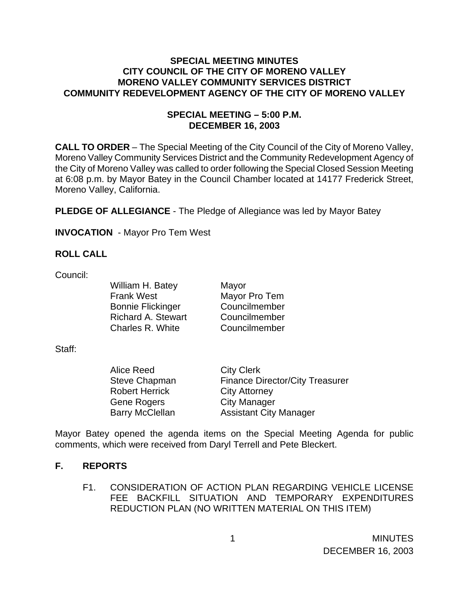## **SPECIAL MEETING MINUTES CITY COUNCIL OF THE CITY OF MORENO VALLEY MORENO VALLEY COMMUNITY SERVICES DISTRICT COMMUNITY REDEVELOPMENT AGENCY OF THE CITY OF MORENO VALLEY**

## **SPECIAL MEETING – 5:00 P.M. DECEMBER 16, 2003**

**CALL TO ORDER** – The Special Meeting of the City Council of the City of Moreno Valley, Moreno Valley Community Services District and the Community Redevelopment Agency of the City of Moreno Valley was called to order following the Special Closed Session Meeting at 6:08 p.m. by Mayor Batey in the Council Chamber located at 14177 Frederick Street, Moreno Valley, California.

**PLEDGE OF ALLEGIANCE** - The Pledge of Allegiance was led by Mayor Batey

**INVOCATION** - Mayor Pro Tem West

## **ROLL CALL**

Council:

William H. Batey Mayor **Frank West** Mayor Pro Tem Bonnie Flickinger Councilmember Richard A. Stewart Councilmember Charles R. White Councilmember

Staff:

 Alice Reed City Clerk Robert Herrick City Attorney Gene Rogers City Manager

Steve Chapman Finance Director/City Treasurer Barry McClellan Assistant City Manager

Mayor Batey opened the agenda items on the Special Meeting Agenda for public comments, which were received from Daryl Terrell and Pete Bleckert.

## **F. REPORTS**

F1. CONSIDERATION OF ACTION PLAN REGARDING VEHICLE LICENSE FEE BACKFILL SITUATION AND TEMPORARY EXPENDITURES REDUCTION PLAN (NO WRITTEN MATERIAL ON THIS ITEM)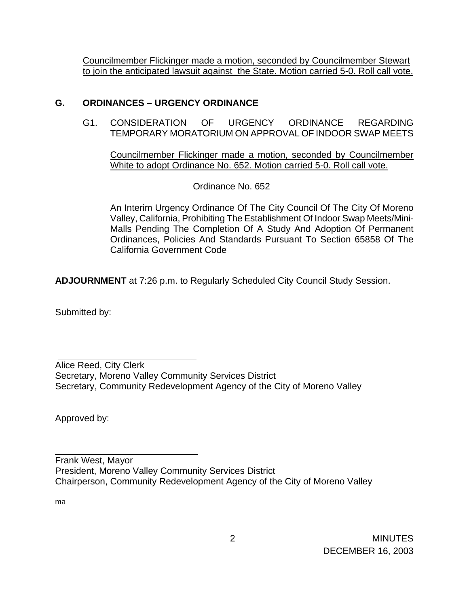Councilmember Flickinger made a motion, seconded by Councilmember Stewart to join the anticipated lawsuit against the State. Motion carried 5-0. Roll call vote.

# **G. ORDINANCES – URGENCY ORDINANCE**

G1. CONSIDERATION OF URGENCY ORDINANCE REGARDING TEMPORARY MORATORIUM ON APPROVAL OF INDOOR SWAP MEETS

Councilmember Flickinger made a motion, seconded by Councilmember White to adopt Ordinance No. 652. Motion carried 5-0. Roll call vote.

Ordinance No. 652

An Interim Urgency Ordinance Of The City Council Of The City Of Moreno Valley, California, Prohibiting The Establishment Of Indoor Swap Meets/Mini-Malls Pending The Completion Of A Study And Adoption Of Permanent Ordinances, Policies And Standards Pursuant To Section 65858 Of The California Government Code

**ADJOURNMENT** at 7:26 p.m. to Regularly Scheduled City Council Study Session.

Submitted by:

Alice Reed, City Clerk Secretary, Moreno Valley Community Services District Secretary, Community Redevelopment Agency of the City of Moreno Valley

Approved by:

 $\overline{\phantom{a}}$  , and the set of the set of the set of the set of the set of the set of the set of the set of the set of the set of the set of the set of the set of the set of the set of the set of the set of the set of the s

Frank West, Mayor President, Moreno Valley Community Services District Chairperson, Community Redevelopment Agency of the City of Moreno Valley

ma